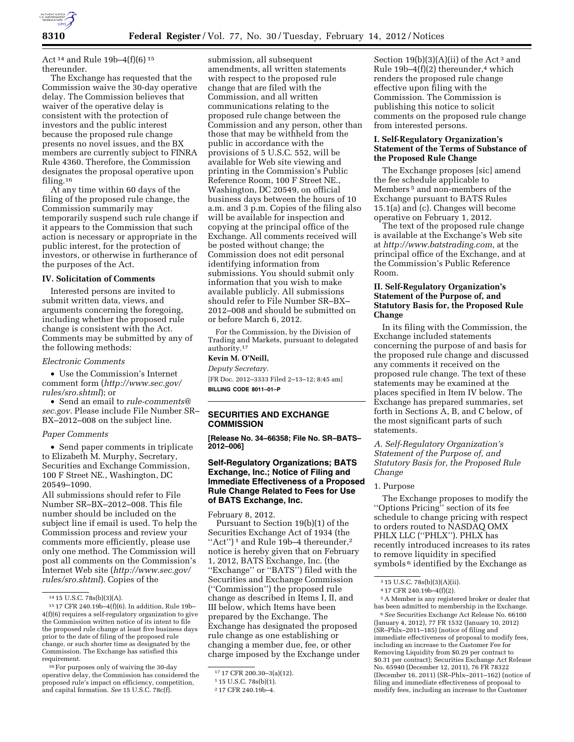

Act 14 and Rule 19b–4(f)(6) 15 thereunder.

The Exchange has requested that the Commission waive the 30-day operative delay. The Commission believes that waiver of the operative delay is consistent with the protection of investors and the public interest because the proposed rule change presents no novel issues, and the BX members are currently subject to FINRA Rule 4360. Therefore, the Commission designates the proposal operative upon filing.16

At any time within 60 days of the filing of the proposed rule change, the Commission summarily may temporarily suspend such rule change if it appears to the Commission that such action is necessary or appropriate in the public interest, for the protection of investors, or otherwise in furtherance of the purposes of the Act.

# **IV. Solicitation of Comments**

Interested persons are invited to submit written data, views, and arguments concerning the foregoing, including whether the proposed rule change is consistent with the Act. Comments may be submitted by any of the following methods:

#### *Electronic Comments*

• Use the Commission's Internet comment form (*[http://www.sec.gov/](http://www.sec.gov/rules/sro.shtml) [rules/sro.shtml](http://www.sec.gov/rules/sro.shtml)*); or

• Send an email to *[rule-comments@](mailto:rule-comments@sec.gov) [sec.gov.](mailto:rule-comments@sec.gov)* Please include File Number SR– BX–2012–008 on the subject line.

#### *Paper Comments*

• Send paper comments in triplicate to Elizabeth M. Murphy, Secretary, Securities and Exchange Commission, 100 F Street NE., Washington, DC 20549–1090.

All submissions should refer to File Number SR–BX–2012–008. This file number should be included on the subject line if email is used. To help the Commission process and review your comments more efficiently, please use only one method. The Commission will post all comments on the Commission's Internet Web site (*[http://www.sec.gov/](http://www.sec.gov/rules/sro.shtml) [rules/sro.shtml](http://www.sec.gov/rules/sro.shtml)*). Copies of the

16For purposes only of waiving the 30-day operative delay, the Commission has considered the proposed rule's impact on efficiency, competition, and capital formation. *See* 15 U.S.C. 78c(f).

submission, all subsequent amendments, all written statements with respect to the proposed rule change that are filed with the Commission, and all written communications relating to the proposed rule change between the Commission and any person, other than those that may be withheld from the public in accordance with the provisions of 5 U.S.C. 552, will be available for Web site viewing and printing in the Commission's Public Reference Room, 100 F Street NE., Washington, DC 20549, on official business days between the hours of 10 a.m. and 3 p.m. Copies of the filing also will be available for inspection and copying at the principal office of the Exchange. All comments received will be posted without change; the Commission does not edit personal identifying information from submissions. You should submit only information that you wish to make available publicly. All submissions should refer to File Number SR–BX– 2012–008 and should be submitted on or before March 6, 2012.

For the Commission, by the Division of Trading and Markets, pursuant to delegated authority.17

# **Kevin M. O'Neill,**

*Deputy Secretary.*  [FR Doc. 2012–3333 Filed 2–13–12; 8:45 am] **BILLING CODE 8011–01–P** 

#### **SECURITIES AND EXCHANGE COMMISSION**

**[Release No. 34–66358; File No. SR–BATS– 2012–006]** 

# **Self-Regulatory Organizations; BATS Exchange, Inc.; Notice of Filing and Immediate Effectiveness of a Proposed Rule Change Related to Fees for Use of BATS Exchange, Inc.**

February 8, 2012.

Pursuant to Section 19(b)(1) of the Securities Exchange Act of 1934 (the "Act")<sup>1</sup> and Rule 19b-4 thereunder,<sup>2</sup> notice is hereby given that on February 1, 2012, BATS Exchange, Inc. (the ''Exchange'' or ''BATS'') filed with the Securities and Exchange Commission (''Commission'') the proposed rule change as described in Items I, II, and III below, which Items have been prepared by the Exchange. The Exchange has designated the proposed rule change as one establishing or changing a member due, fee, or other charge imposed by the Exchange under

Section  $19(b)(3)(A)(ii)$  of the Act<sup>3</sup> and Rule 19b–4 $(f)(2)$  thereunder,<sup>4</sup> which renders the proposed rule change effective upon filing with the Commission. The Commission is publishing this notice to solicit comments on the proposed rule change from interested persons.

## **I. Self-Regulatory Organization's Statement of the Terms of Substance of the Proposed Rule Change**

The Exchange proposes [sic] amend the fee schedule applicable to Members 5 and non-members of the Exchange pursuant to BATS Rules 15.1(a) and (c). Changes will become operative on February 1, 2012.

The text of the proposed rule change is available at the Exchange's Web site at *[http://www.batstrading.com,](http://www.batstrading.com)* at the principal office of the Exchange, and at the Commission's Public Reference Room.

# **II. Self-Regulatory Organization's Statement of the Purpose of, and Statutory Basis for, the Proposed Rule Change**

In its filing with the Commission, the Exchange included statements concerning the purpose of and basis for the proposed rule change and discussed any comments it received on the proposed rule change. The text of these statements may be examined at the places specified in Item IV below. The Exchange has prepared summaries, set forth in Sections A, B, and C below, of the most significant parts of such statements.

# *A. Self-Regulatory Organization's Statement of the Purpose of, and Statutory Basis for, the Proposed Rule Change*

#### 1. Purpose

The Exchange proposes to modify the ''Options Pricing'' section of its fee schedule to change pricing with respect to orders routed to NASDAQ OMX PHLX LLC (''PHLX''). PHLX has recently introduced increases to its rates to remove liquidity in specified symbols <sup>6</sup> identified by the Exchange as

5A Member is any registered broker or dealer that has been admitted to membership in the Exchange.

6*See* Securities Exchange Act Release No. 66100 (January 4, 2012), 77 FR 1532 (January 10, 2012) (SR–Phlx–2011–185) (notice of filing and immediate effectiveness of proposal to modify fees, including an increase to the Customer Fee for Removing Liquidity from \$0.29 per contract to \$0.31 per contract); Securities Exchange Act Release No. 65940 (December 12, 2011), 76 FR 78322 (December 16, 2011) (SR–Phlx–2011–162) (notice of filing and immediate effectiveness of proposal to modify fees, including an increase to the Customer

<sup>14</sup> 15 U.S.C. 78s(b)(3)(A).

<sup>15</sup> 17 CFR 240.19b–4(f)(6). In addition, Rule 19b– 4(f)(6) requires a self-regulatory organization to give the Commission written notice of its intent to file the proposed rule change at least five business days prior to the date of filing of the proposed rule change, or such shorter time as designated by the Commission. The Exchange has satisfied this requirement.

<sup>17</sup> 17 CFR 200.30–3(a)(12).

<sup>1</sup> 15 U.S.C. 78s(b)(1).

<sup>2</sup> 17 CFR 240.19b–4.

<sup>3</sup> 15 U.S.C. 78s(b)(3)(A)(ii).

<sup>4</sup> 17 CFR 240.19b–4(f)(2).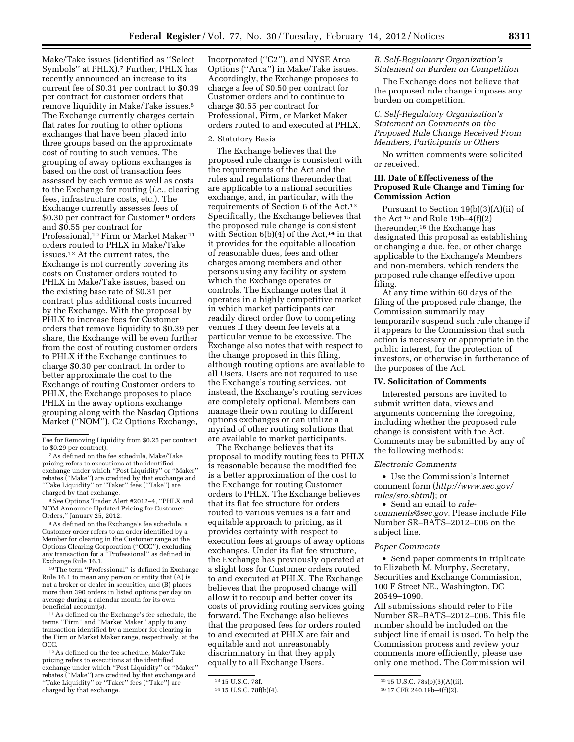Make/Take issues (identified as ''Select Symbols'' at PHLX).7 Further, PHLX has recently announced an increase to its current fee of \$0.31 per contract to \$0.39 per contract for customer orders that remove liquidity in Make/Take issues.8 The Exchange currently charges certain flat rates for routing to other options exchanges that have been placed into three groups based on the approximate cost of routing to such venues. The grouping of away options exchanges is based on the cost of transaction fees assessed by each venue as well as costs to the Exchange for routing (*i.e.,* clearing fees, infrastructure costs, etc.). The Exchange currently assesses fees of \$0.30 per contract for Customer 9 orders and \$0.55 per contract for Professional,10 Firm or Market Maker 11 orders routed to PHLX in Make/Take issues.12 At the current rates, the Exchange is not currently covering its costs on Customer orders routed to PHLX in Make/Take issues, based on the existing base rate of \$0.31 per contract plus additional costs incurred by the Exchange. With the proposal by PHLX to increase fees for Customer orders that remove liquidity to \$0.39 per share, the Exchange will be even further from the cost of routing customer orders to PHLX if the Exchange continues to charge \$0.30 per contract. In order to better approximate the cost to the Exchange of routing Customer orders to PHLX, the Exchange proposes to place PHLX in the away options exchange grouping along with the Nasdaq Options Market (''NOM''), C2 Options Exchange,

8*See* Options Trader Alert #2012–4, ''PHLX and NOM Announce Updated Pricing for Customer Orders,'' January 25, 2012.

9As defined on the Exchange's fee schedule, a Customer order refers to an order identified by a Member for clearing in the Customer range at the Options Clearing Corporation (''OCC''), excluding any transaction for a ''Professional'' as defined in Exchange Rule 16.1.

10The term ''Professional'' is defined in Exchange Rule 16.1 to mean any person or entity that (A) is not a broker or dealer in securities, and (B) places more than 390 orders in listed options per day on average during a calendar month for its own beneficial account(s).

11As defined on the Exchange's fee schedule, the terms ''Firm'' and ''Market Maker'' apply to any transaction identified by a member for clearing in the Firm or Market Maker range, respectively, at the OCC.

12As defined on the fee schedule, Make/Take pricing refers to executions at the identified exchange under which ''Post Liquidity'' or ''Maker'' rebates (''Make'') are credited by that exchange and ''Take Liquidity'' or ''Taker'' fees (''Take'') are charged by that exchange.

Incorporated (''C2''), and NYSE Arca Options (''Arca'') in Make/Take issues. Accordingly, the Exchange proposes to charge a fee of \$0.50 per contract for Customer orders and to continue to charge \$0.55 per contract for Professional, Firm, or Market Maker orders routed to and executed at PHLX.

## 2. Statutory Basis

The Exchange believes that the proposed rule change is consistent with the requirements of the Act and the rules and regulations thereunder that are applicable to a national securities exchange, and, in particular, with the requirements of Section 6 of the Act.13 Specifically, the Exchange believes that the proposed rule change is consistent with Section  $6(b)(4)$  of the Act,<sup>14</sup> in that it provides for the equitable allocation of reasonable dues, fees and other charges among members and other persons using any facility or system which the Exchange operates or controls. The Exchange notes that it operates in a highly competitive market in which market participants can readily direct order flow to competing venues if they deem fee levels at a particular venue to be excessive. The Exchange also notes that with respect to the change proposed in this filing, although routing options are available to all Users, Users are not required to use the Exchange's routing services, but instead, the Exchange's routing services are completely optional. Members can manage their own routing to different options exchanges or can utilize a myriad of other routing solutions that are available to market participants.

The Exchange believes that its proposal to modify routing fees to PHLX is reasonable because the modified fee is a better approximation of the cost to the Exchange for routing Customer orders to PHLX. The Exchange believes that its flat fee structure for orders routed to various venues is a fair and equitable approach to pricing, as it provides certainty with respect to execution fees at groups of away options exchanges. Under its flat fee structure, the Exchange has previously operated at a slight loss for Customer orders routed to and executed at PHLX. The Exchange believes that the proposed change will allow it to recoup and better cover its costs of providing routing services going forward. The Exchange also believes that the proposed fees for orders routed to and executed at PHLX are fair and equitable and not unreasonably discriminatory in that they apply equally to all Exchange Users.

# *B. Self-Regulatory Organization's Statement on Burden on Competition*

The Exchange does not believe that the proposed rule change imposes any burden on competition.

# *C. Self-Regulatory Organization's Statement on Comments on the Proposed Rule Change Received From Members, Participants or Others*

No written comments were solicited or received.

## **III. Date of Effectiveness of the Proposed Rule Change and Timing for Commission Action**

Pursuant to Section 19(b)(3)(A)(ii) of the Act $^{\rm 15}$  and Rule 19b–4(f)(2) thereunder,16 the Exchange has designated this proposal as establishing or changing a due, fee, or other charge applicable to the Exchange's Members and non-members, which renders the proposed rule change effective upon filing.

At any time within 60 days of the filing of the proposed rule change, the Commission summarily may temporarily suspend such rule change if it appears to the Commission that such action is necessary or appropriate in the public interest, for the protection of investors, or otherwise in furtherance of the purposes of the Act.

# **IV. Solicitation of Comments**

Interested persons are invited to submit written data, views and arguments concerning the foregoing, including whether the proposed rule change is consistent with the Act. Comments may be submitted by any of the following methods:

#### *Electronic Comments*

• Use the Commission's Internet comment form (*[http://www.sec.gov/](http://www.sec.gov/rules/sro.shtml)  [rules/sro.shtml](http://www.sec.gov/rules/sro.shtml)*); or

• Send an email to *[rule](mailto:rule-comments@sec.gov)[comments@sec.gov.](mailto:rule-comments@sec.gov)* Please include File Number SR–BATS–2012–006 on the subject line.

#### *Paper Comments*

• Send paper comments in triplicate to Elizabeth M. Murphy, Secretary, Securities and Exchange Commission, 100 F Street NE., Washington, DC 20549–1090.

All submissions should refer to File Number SR–BATS–2012–006. This file number should be included on the subject line if email is used. To help the Commission process and review your comments more efficiently, please use only one method. The Commission will

Fee for Removing Liquidity from \$0.25 per contract<br>to \$0.29 per contract).

<sup>&</sup>lt;sup>7</sup> As defined on the fee schedule, Make/Take pricing refers to executions at the identified exchange under which ''Post Liquidity'' or ''Maker'' rebates (''Make'') are credited by that exchange and ''Take Liquidity'' or ''Taker'' fees (''Take'') are charged by that exchange.

<sup>13</sup> 15 U.S.C. 78f.

<sup>14</sup> 15 U.S.C. 78f(b)(4).

<sup>15</sup> 15 U.S.C. 78s(b)(3)(A)(ii).

<sup>16</sup> 17 CFR 240.19b–4(f)(2).